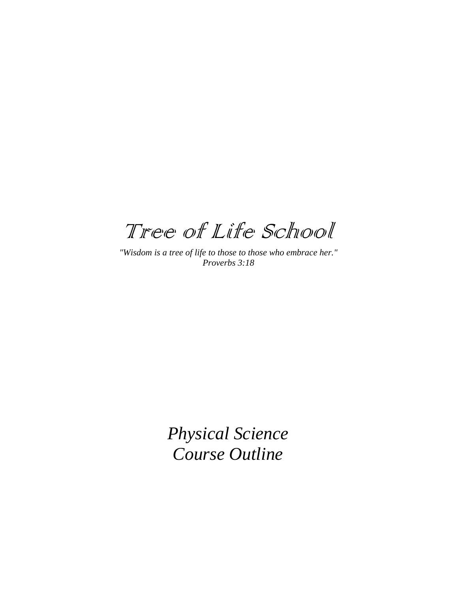Tree of Life School

*"Wisdom is a tree of life to those to those who embrace her." Proverbs 3:18*

> *Physical Science Course Outline*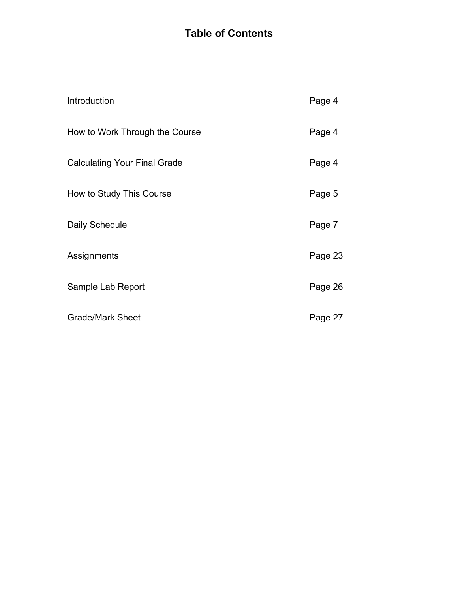# **Table of Contents**

| Introduction                        | Page 4  |
|-------------------------------------|---------|
| How to Work Through the Course      | Page 4  |
| <b>Calculating Your Final Grade</b> | Page 4  |
| How to Study This Course            | Page 5  |
| Daily Schedule                      | Page 7  |
| Assignments                         | Page 23 |
| Sample Lab Report                   | Page 26 |
| <b>Grade/Mark Sheet</b>             | Page 27 |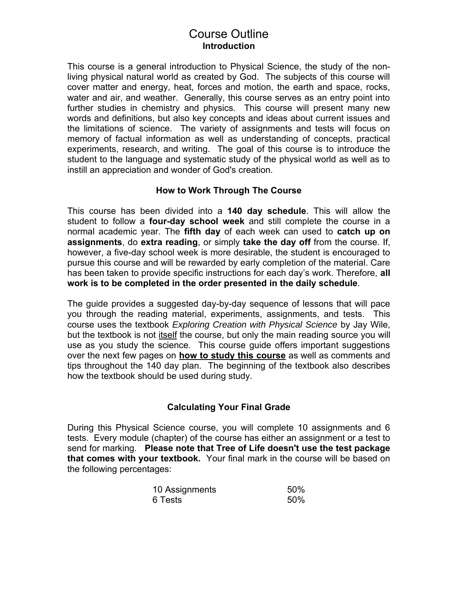# Course Outline **Introduction**

This course is a general introduction to Physical Science, the study of the nonliving physical natural world as created by God. The subjects of this course will cover matter and energy, heat, forces and motion, the earth and space, rocks, water and air, and weather. Generally, this course serves as an entry point into further studies in chemistry and physics. This course will present many new words and definitions, but also key concepts and ideas about current issues and the limitations of science. The variety of assignments and tests will focus on memory of factual information as well as understanding of concepts, practical experiments, research, and writing. The goal of this course is to introduce the student to the language and systematic study of the physical world as well as to instill an appreciation and wonder of God's creation.

## **How to Work Through The Course**

This course has been divided into a **140 day schedule**. This will allow the student to follow a **four-day school week** and still complete the course in a normal academic year. The **fifth day** of each week can used to **catch up on assignments**, do **extra reading**, or simply **take the day off** from the course. If, however, a five-day school week is more desirable, the student is encouraged to pursue this course and will be rewarded by early completion of the material. Care has been taken to provide specific instructions for each day's work. Therefore, **all work is to be completed in the order presented in the daily schedule**.

The guide provides a suggested day-by-day sequence of lessons that will pace you through the reading material, experiments, assignments, and tests. This course uses the textbook *Exploring Creation with Physical Science* by Jay Wile, but the textbook is not itself the course, but only the main reading source you will use as you study the science. This course guide offers important suggestions over the next few pages on **how to study this course** as well as comments and tips throughout the 140 day plan. The beginning of the textbook also describes how the textbook should be used during study.

## **Calculating Your Final Grade**

During this Physical Science course, you will complete 10 assignments and 6 tests. Every module (chapter) of the course has either an assignment or a test to send for marking. **Please note that Tree of Life doesn't use the test package that comes with your textbook.** Your final mark in the course will be based on the following percentages:

| 10 Assignments | 50% |
|----------------|-----|
| 6 Tests        | 50% |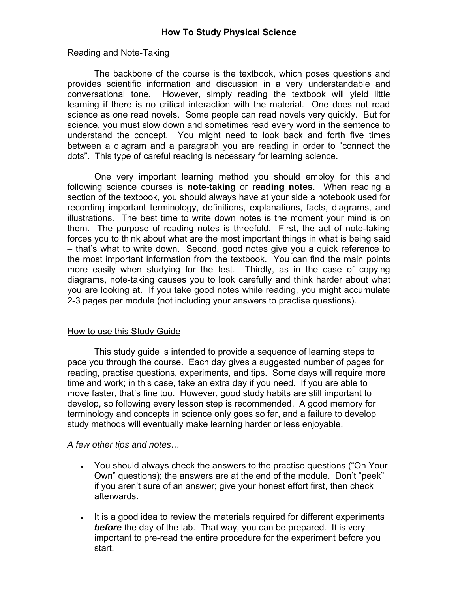#### Reading and Note-Taking

The backbone of the course is the textbook, which poses questions and provides scientific information and discussion in a very understandable and conversational tone. However, simply reading the textbook will yield little learning if there is no critical interaction with the material. One does not read science as one read novels. Some people can read novels very quickly. But for science, you must slow down and sometimes read every word in the sentence to understand the concept. You might need to look back and forth five times between a diagram and a paragraph you are reading in order to "connect the dots". This type of careful reading is necessary for learning science.

One very important learning method you should employ for this and following science courses is **note-taking** or **reading notes**. When reading a section of the textbook, you should always have at your side a notebook used for recording important terminology, definitions, explanations, facts, diagrams, and illustrations. The best time to write down notes is the moment your mind is on them. The purpose of reading notes is threefold. First, the act of note-taking forces you to think about what are the most important things in what is being said – that's what to write down. Second, good notes give you a quick reference to the most important information from the textbook. You can find the main points more easily when studying for the test. Thirdly, as in the case of copying diagrams, note-taking causes you to look carefully and think harder about what you are looking at. If you take good notes while reading, you might accumulate 2-3 pages per module (not including your answers to practise questions).

#### How to use this Study Guide

This study guide is intended to provide a sequence of learning steps to pace you through the course. Each day gives a suggested number of pages for reading, practise questions, experiments, and tips. Some days will require more time and work; in this case, take an extra day if you need. If you are able to move faster, that's fine too. However, good study habits are still important to develop, so following every lesson step is recommended. A good memory for terminology and concepts in science only goes so far, and a failure to develop study methods will eventually make learning harder or less enjoyable.

#### *A few other tips and notes…*

- You should always check the answers to the practise questions ("On Your Own" questions); the answers are at the end of the module. Don't "peek" if you aren't sure of an answer; give your honest effort first, then check afterwards.
- It is a good idea to review the materials required for different experiments *before* the day of the lab. That way, you can be prepared. It is very important to pre-read the entire procedure for the experiment before you start.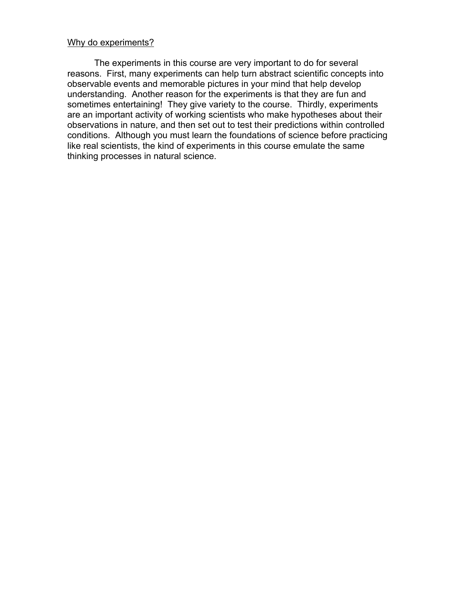#### Why do experiments?

The experiments in this course are very important to do for several reasons. First, many experiments can help turn abstract scientific concepts into observable events and memorable pictures in your mind that help develop understanding. Another reason for the experiments is that they are fun and sometimes entertaining! They give variety to the course. Thirdly, experiments are an important activity of working scientists who make hypotheses about their observations in nature, and then set out to test their predictions within controlled conditions. Although you must learn the foundations of science before practicing like real scientists, the kind of experiments in this course emulate the same thinking processes in natural science.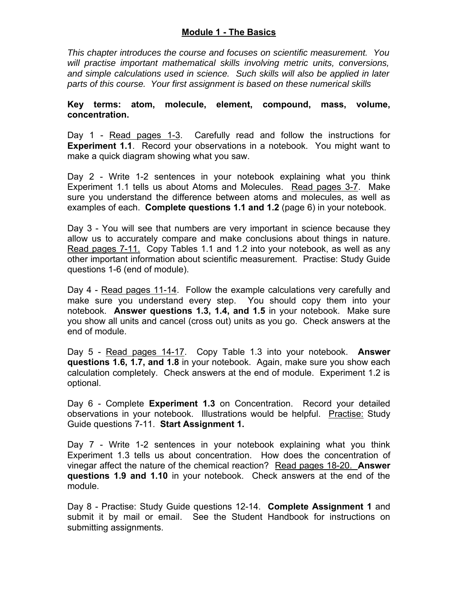#### **Module 1 - The Basics**

*This chapter introduces the course and focuses on scientific measurement. You will practise important mathematical skills involving metric units, conversions, and simple calculations used in science. Such skills will also be applied in later parts of this course. Your first assignment is based on these numerical skills*

**Key terms: atom, molecule, element, compound, mass, volume, concentration.**

Day 1 - Read pages 1-3. Carefully read and follow the instructions for **Experiment 1.1**. Record your observations in a notebook. You might want to make a quick diagram showing what you saw.

Day 2 - Write 1-2 sentences in your notebook explaining what you think Experiment 1.1 tells us about Atoms and Molecules. Read pages 3-7. Make sure you understand the difference between atoms and molecules, as well as examples of each. **Complete questions 1.1 and 1.2** (page 6) in your notebook.

Day 3 - You will see that numbers are very important in science because they allow us to accurately compare and make conclusions about things in nature. Read pages 7-11. Copy Tables 1.1 and 1.2 into your notebook, as well as any other important information about scientific measurement. Practise: Study Guide questions 1-6 (end of module).

Day 4 - Read pages 11-14. Follow the example calculations very carefully and make sure you understand every step. You should copy them into your notebook. **Answer questions 1.3, 1.4, and 1.5** in your notebook. Make sure you show all units and cancel (cross out) units as you go. Check answers at the end of module.

Day 5 - Read pages 14-17. Copy Table 1.3 into your notebook. **Answer questions 1.6, 1.7, and 1.8** in your notebook. Again, make sure you show each calculation completely. Check answers at the end of module. Experiment 1.2 is optional.

Day 6 - Complete **Experiment 1.3** on Concentration. Record your detailed observations in your notebook. Illustrations would be helpful. Practise: Study Guide questions 7-11. **Start Assignment 1.**

Day 7 - Write 1-2 sentences in your notebook explaining what you think Experiment 1.3 tells us about concentration. How does the concentration of vinegar affect the nature of the chemical reaction? Read pages 18-20. **Answer questions 1.9 and 1.10** in your notebook. Check answers at the end of the module.

Day 8 - Practise: Study Guide questions 12-14. **Complete Assignment 1** and submit it by mail or email. See the Student Handbook for instructions on submitting assignments.